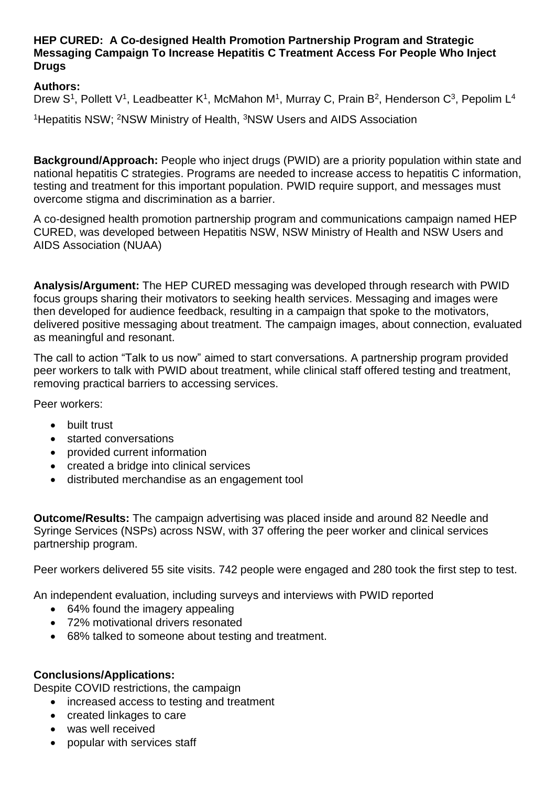## **HEP CURED: A Co-designed Health Promotion Partnership Program and Strategic Messaging Campaign To Increase Hepatitis C Treatment Access For People Who Inject Drugs**

## **Authors:**

Drew S<sup>1</sup>, Pollett V<sup>1</sup>, Leadbeatter K<sup>1</sup>, McMahon M<sup>1</sup>, Murray C, Prain B<sup>2</sup>, Henderson C<sup>3</sup>, Pepolim L<sup>4</sup>

<sup>1</sup> Hepatitis NSW: <sup>2</sup>NSW Ministry of Health, <sup>3</sup>NSW Users and AIDS Association

**Background/Approach:** People who inject drugs (PWID) are a priority population within state and national hepatitis C strategies. Programs are needed to increase access to hepatitis C information, testing and treatment for this important population. PWID require support, and messages must overcome stigma and discrimination as a barrier.

A co-designed health promotion partnership program and communications campaign named HEP CURED, was developed between Hepatitis NSW, NSW Ministry of Health and NSW Users and AIDS Association (NUAA)

**Analysis/Argument:** The HEP CURED messaging was developed through research with PWID focus groups sharing their motivators to seeking health services. Messaging and images were then developed for audience feedback, resulting in a campaign that spoke to the motivators, delivered positive messaging about treatment. The campaign images, about connection, evaluated as meaningful and resonant.

The call to action "Talk to us now" aimed to start conversations. A partnership program provided peer workers to talk with PWID about treatment, while clinical staff offered testing and treatment, removing practical barriers to accessing services.

Peer workers:

- built trust
- started conversations
- provided current information
- created a bridge into clinical services
- distributed merchandise as an engagement tool

**Outcome/Results:** The campaign advertising was placed inside and around 82 Needle and Syringe Services (NSPs) across NSW, with 37 offering the peer worker and clinical services partnership program.

Peer workers delivered 55 site visits. 742 people were engaged and 280 took the first step to test.

An independent evaluation, including surveys and interviews with PWID reported

- 64% found the imagery appealing
- 72% motivational drivers resonated
- 68% talked to someone about testing and treatment.

## **Conclusions/Applications:**

Despite COVID restrictions, the campaign

- increased access to testing and treatment
- created linkages to care
- was well received
- popular with services staff